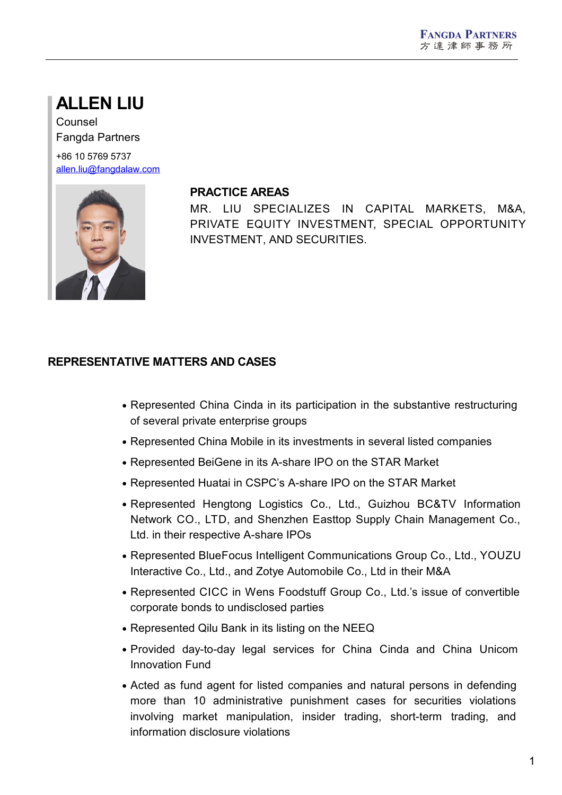# **ALLEN LIU**

Counsel Fangda Partners

+86 10 5769 5737 [allen.liu@fangdalaw.com](mailto:allen.liu@fangdalaw.com)



#### **PRACTICE AREAS**

MR. LIU SPECIALIZES IN CAPITAL MARKETS, M&A, PRIVATE EQUITY INVESTMENT, SPECIAL OPPORTUNITY INVESTMENT, AND SECURITIES.

## **REPRESENTATIVE MATTERS AND CASES**

- Represented China Cinda in its participation in the substantive restructuring of several private enterprise groups
- Represented China Mobile in its investments in several listed companies
- Represented BeiGene in its A-share IPO on the STAR Market
- Represented Huatai in CSPC's A-share IPO on the STAR Market
- Represented Hengtong Logistics Co., Ltd., Guizhou BC&TV Information Network CO., LTD, and Shenzhen Easttop Supply Chain Management Co., Ltd. in their respective A-share IPOs
- Represented BlueFocus Intelligent Communications Group Co., Ltd., YOUZU Interactive Co., Ltd., and Zotye Automobile Co., Ltd in their M&A
- Represented CICC in Wens Foodstuff Group Co., Ltd.'s issue of convertible corporate bonds to undisclosed parties
- Represented Qilu Bank in its listing on the NEEQ
- Provided day-to-day legal services for China Cinda and China Unicom Innovation Fund
- Acted as fund agent for listed companies and natural persons in defending more than 10 administrative punishment cases for securities violations involving market manipulation, insider trading, short-term trading, and information disclosure violations